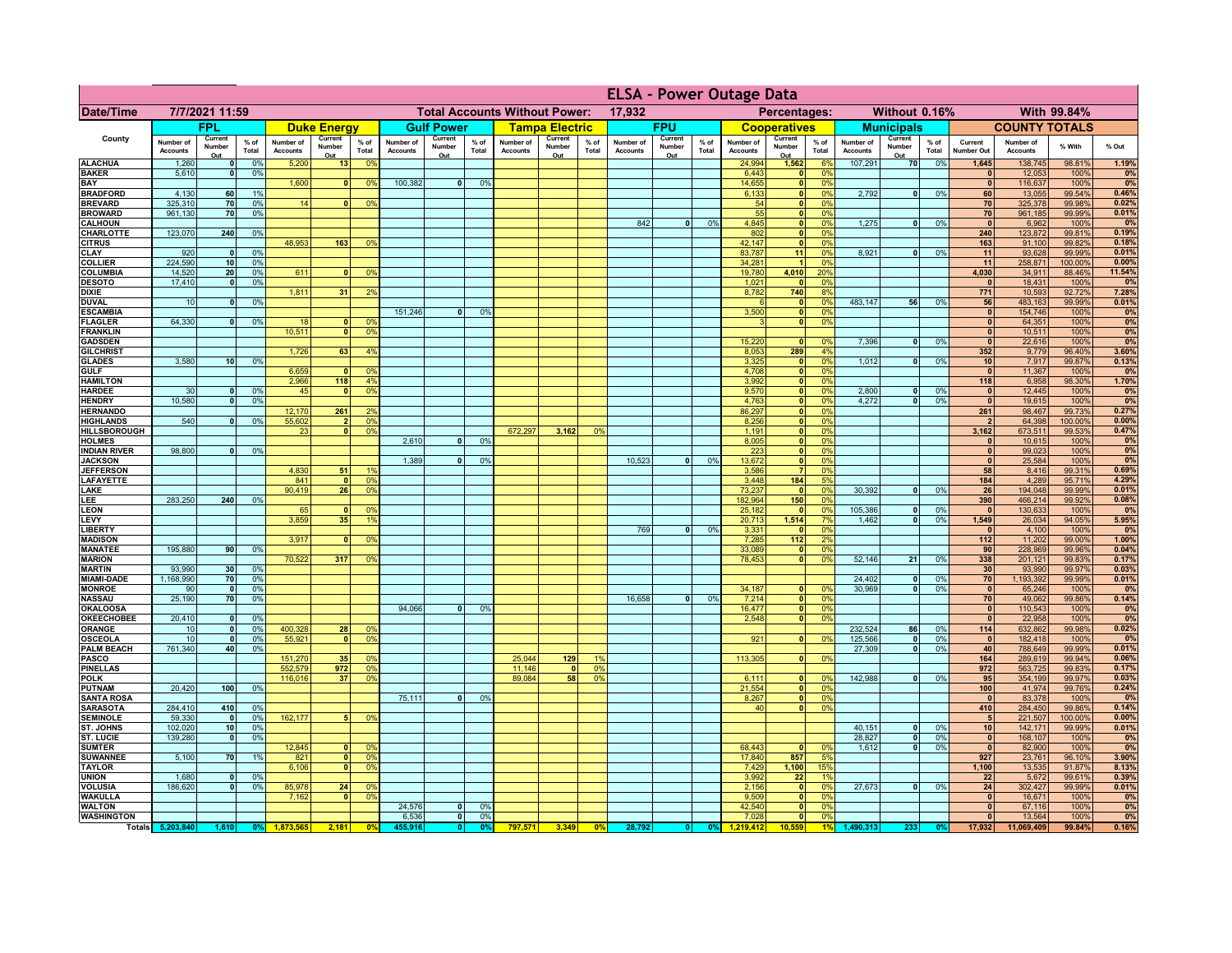|                                      |                              | <b>ELSA - Power Outage Data</b> |                 |                              |                                                |                                  |                              |                          |                    |                                              |                          |                                  |                              |                          |               |                              |                                        |                      |                              |                             |                 |                                |                              |                   |                |
|--------------------------------------|------------------------------|---------------------------------|-----------------|------------------------------|------------------------------------------------|----------------------------------|------------------------------|--------------------------|--------------------|----------------------------------------------|--------------------------|----------------------------------|------------------------------|--------------------------|---------------|------------------------------|----------------------------------------|----------------------|------------------------------|-----------------------------|-----------------|--------------------------------|------------------------------|-------------------|----------------|
| Date/Time                            | 7/7/2021 11:59               |                                 |                 |                              | <b>Total Accounts Without Power:</b><br>17,932 |                                  |                              |                          |                    | Without 0.16%<br>With 99.84%<br>Percentages: |                          |                                  |                              |                          |               |                              |                                        |                      |                              |                             |                 |                                |                              |                   |                |
|                                      |                              | <b>FPL</b>                      |                 |                              | <b>Duke Energy</b>                             |                                  |                              | <b>Gulf Power</b>        |                    |                                              | <b>Tampa Electric</b>    |                                  |                              | <b>FPU</b>               |               |                              | <b>Cooperatives</b>                    |                      |                              | <b>Municipals</b>           |                 |                                | <b>COUNTY TOTALS</b>         |                   |                |
| County                               | Number of<br><b>Accounts</b> | Current<br>Number<br>Out        | $%$ of<br>Total | Number of<br><b>Accounts</b> | Current<br>Number<br>Out                       | $%$ of<br>Total                  | Number of<br><b>Accounts</b> | Current<br>Number<br>Out | $%$ of<br>Total    | Number of<br><b>Accounts</b>                 | Current<br>Number<br>Out | $%$ of<br>Total                  | Number of<br><b>Accounts</b> | Current<br>Number<br>Out | % of<br>Total | Number of<br><b>Accounts</b> | Current<br>Number<br>Out               | $%$ of<br>Total      | Number of<br><b>Accounts</b> | Current<br>Number<br>Out    | $%$ of<br>Total | Current<br><b>Number Out</b>   | Number of<br><b>Accounts</b> | % With            | % Out          |
| <b>ALACHUA</b>                       | 1,260                        | $\mathbf{0}$                    | 0%              | 5,200                        | 13                                             | 0 <sup>9</sup>                   |                              |                          |                    |                                              |                          |                                  |                              |                          |               | 24,994                       | 1,562                                  | 6%                   | 107,291                      | 70                          | 0%              | 1,645                          | 138,745                      | 98.81%            | 1.19%          |
| <b>BAKER</b><br>BAY                  | 5,610                        | $\mathbf{0}$                    | 0%              | 1,600                        |                                                | 0 <sup>9</sup>                   | 100,382                      | $\mathbf{0}$             | 0 <sup>9</sup>     |                                              |                          |                                  |                              |                          |               | 6,443<br>14,655              | 0 <br> 0                               | 0 <sup>9</sup><br>0% |                              |                             |                 | $\mathbf{0}$<br>$\mathbf{0}$   | 12,053<br>116,637            | 100%<br>100%      | 0%<br>0%       |
| <b>BRADFORD</b>                      | 4,130                        | 60                              | 1%              |                              |                                                |                                  |                              |                          |                    |                                              |                          |                                  |                              |                          |               | 6,133                        | 0                                      | 0%                   | 2,792                        | $\mathbf{0}$                | 0%              | 60                             | 13,055                       | 99.54%            | 0.46%          |
| <b>BREVARD</b>                       | 325,310                      | 70                              | 0%              | 14                           |                                                | 0 <sup>9</sup>                   |                              |                          |                    |                                              |                          |                                  |                              |                          |               | 54                           | 0                                      | 0%                   |                              |                             |                 | 70                             | 325,378                      | 99.98%            | 0.02%          |
| <b>BROWARD</b><br><b>CALHOUN</b>     | 961,130                      | 70                              | 0%              |                              |                                                |                                  |                              |                          |                    |                                              |                          |                                  | 842                          | $\mathbf{0}$             | 0%            | 55<br>4,845                  | 0 <br> 0                               | 0%<br>0%             | 1,275                        | $\mathbf{0}$                | 0%              | 70<br>$\mathbf{0}$             | 961,185<br>6,962             | 99.99%<br>100%    | 0.01%<br>0%    |
| CHARLOTTE                            | 123,070                      | 240                             | 0%              |                              |                                                |                                  |                              |                          |                    |                                              |                          |                                  |                              |                          |               | 802                          | 0                                      | 0%                   |                              |                             |                 | 240                            | 123,872                      | 99.81%            | 0.19%          |
| <b>CITRUS</b>                        |                              |                                 |                 | 48,953                       | 163                                            | 0 <sup>9</sup>                   |                              |                          |                    |                                              |                          |                                  |                              |                          |               | 42,147                       | 0                                      | 0%                   |                              |                             |                 | 163                            | 91,100                       | 99.82%            | 0.18%          |
| <b>CLAY</b><br><b>COLLIER</b>        | 920<br>224,590               | $\mathbf{0}$<br>10              | 0%<br>0%        |                              |                                                |                                  |                              |                          |                    |                                              |                          |                                  |                              |                          |               | 83,787<br>34,281             | 11<br>$\overline{1}$                   | 0%<br>0%             | 8,921                        | $\mathbf{0}$                | 0%              | 11<br>11                       | 93,628<br>258,871            | 99.99%<br>100.00% | 0.01%<br>0.00% |
| <b>COLUMBIA</b>                      | 14,520                       | 20                              | 0%              | 611                          |                                                | 0 <sup>9</sup>                   |                              |                          |                    |                                              |                          |                                  |                              |                          |               | 19,780                       | 4,010                                  | 20%                  |                              |                             |                 | 4,030                          | 34,911                       | 88.46%            | 11.54%         |
| <b>DESOTO</b><br><b>DIXIE</b>        | 17,410                       | $\mathbf{0}$                    | 0%              | 1,811                        | 31                                             | 2%                               |                              |                          |                    |                                              |                          |                                  |                              |                          |               | 1,021<br>8,782               | $\mathbf{0}$<br>740                    | 0%<br>8%             |                              |                             |                 | $\mathbf{0}$<br>771            | 18,431<br>10,593             | 100%<br>92.72%    | 0%<br>7.28%    |
| <b>DUVAL</b>                         | 10                           | 0                               | 0%              |                              |                                                |                                  |                              |                          |                    |                                              |                          |                                  |                              |                          |               | <b>6</b>                     | 0                                      | 0%                   | 483,147                      | 56                          | 0%              | 56                             | 483,163                      | 99.99%            | 0.01%          |
| <b>ESCAMBIA</b>                      |                              |                                 |                 |                              |                                                |                                  | 151,246                      | 0                        | 0 <sup>9</sup>     |                                              |                          |                                  |                              |                          |               | 3,500                        | $\overline{\bullet}$                   | 0%                   |                              |                             |                 | $\bullet$                      | 154,746                      | 100%              | 0%             |
| <b>FLAGLER</b><br><b>FRANKLIN</b>    | 64,330                       | $\mathbf{0}$                    | 0%              | 18<br>10.511                 | $\Omega$<br>$\Omega$                           | 0%<br>0 <sup>9</sup>             |                              |                          |                    |                                              |                          |                                  |                              |                          |               | 3                            | $\overline{\bullet}$                   | 0%                   |                              |                             |                 | $\mathbf{0}$<br>$\mathbf{0}$   | 64,351<br>10,511             | 100%<br>100%      | 0%<br>0%       |
| <b>GADSDEN</b>                       |                              |                                 |                 |                              |                                                |                                  |                              |                          |                    |                                              |                          |                                  |                              |                          |               | 15,220                       | 0                                      | 0%                   | 7,396                        | $\mathbf{0}$                | 0%              | $\mathbf{0}$                   | 22,616                       | 100%              | 0%             |
| <b>GILCHRIST</b>                     |                              |                                 |                 | 1,726                        | 63                                             | 4%                               |                              |                          |                    |                                              |                          |                                  |                              |                          |               | 8,053                        | 289                                    | 4%                   |                              |                             |                 | 352                            | 9,779                        | 96.40%            | 3.60%          |
| <b>GLADES</b><br><b>GULF</b>         | 3,580                        | 10                              | 0 <sup>9</sup>  | 6,659                        | $\Omega$                                       | 0%                               |                              |                          |                    |                                              |                          |                                  |                              |                          |               | 3,325<br>4,708               | 0 <br> 0                               | 0%<br>0%             | 1,012                        | $\bullet$                   | 0%              | 10<br>$\mathbf{0}$             | 7,917<br>11,367              | 99.87%<br>100%    | 0.13%<br>0%    |
| <b>HAMILTON</b>                      |                              |                                 |                 | 2,966                        | 118                                            | 4 <sup>9</sup>                   |                              |                          |                    |                                              |                          |                                  |                              |                          |               | 3,992                        | 0                                      | 0%                   |                              |                             |                 | $118$                          | 6,958                        | 98.30%            | 1.70%          |
| <b>HARDEE</b>                        | 30                           | $\mathbf{0}$                    | 0%              | 45                           | $\sqrt{2}$                                     | 0 <sup>9</sup>                   |                              |                          |                    |                                              |                          |                                  |                              |                          |               | 9,570                        | 0                                      | 0%                   | 2,800                        | $\bullet$                   | 0%              | $\mathbf{0}$                   | 12,445                       | 100%              | 0%             |
| <b>HENDRY</b><br><b>HERNANDO</b>     | 10.580                       | $\overline{0}$                  | 0%              | 12,170                       | 261                                            | 2 <sup>0</sup>                   |                              |                          |                    |                                              |                          |                                  |                              |                          |               | 4,763<br>86,297              | $\overline{\bullet}$<br>$\overline{0}$ | 0%<br>0%             | 4.272                        | $\bullet$                   | 0%              | $\overline{\mathbf{0}}$<br>261 | 19,615<br>98,467             | 100%<br>99.73%    | 0%<br>0.27%    |
| <b>HIGHLANDS</b>                     | 540                          | $\Omega$                        | 0%              | 55.602                       | $\overline{2}$                                 | 0 <sup>9</sup>                   |                              |                          |                    |                                              |                          |                                  |                              |                          |               | 8.256                        | 0                                      | 0%                   |                              |                             |                 | $\overline{2}$                 | 64,398                       | 100.00%           | 0.00%          |
| <b>HILLSBOROUGH</b>                  |                              |                                 |                 | 23                           | $\sqrt{2}$                                     | 0%                               |                              |                          |                    | 672.297                                      | 3,162                    | 0 <sup>9</sup>                   |                              |                          |               | 1,191                        | 0                                      | 0%                   |                              |                             |                 | 3,162                          | 673,511                      | 99.53%            | 0.47%          |
| <b>HOLMES</b><br><b>INDIAN RIVER</b> | 98,800                       | $\mathbf{r}$                    | 0%              |                              |                                                |                                  | 2,610                        | $\mathbf{r}$             | 0 <sup>9</sup>     |                                              |                          |                                  |                              |                          |               | 8,005<br>223                 | 0 <br> 0                               | 0%<br>0%             |                              |                             |                 | $\mathbf{0}$<br> 0             | 10,615<br>99,023             | 100%<br>100%      | 0%<br>0%       |
| <b>JACKSON</b>                       |                              |                                 |                 |                              |                                                |                                  | 1,389                        | $\mathbf{0}$             | 0%                 |                                              |                          |                                  | 10,523                       | $\mathbf{0}$             | 0%            | 13,672                       | 0                                      | 0%                   |                              |                             |                 | 0                              | 25,584                       | 100%              | 0%             |
| <b>JEFFERSON</b>                     |                              |                                 |                 | 4,830                        | 51                                             | 19                               |                              |                          |                    |                                              |                          |                                  |                              |                          |               | 3,586                        | $\overline{7}$                         | 0%                   |                              |                             |                 | 58                             | 8,416                        | 99.31%            | 0.69%          |
| LAFAYETTE<br>LAKE                    |                              |                                 |                 | 841<br>90,419                | 26                                             | 0 <sup>9</sup><br>0 <sup>9</sup> |                              |                          |                    |                                              |                          |                                  |                              |                          |               | 3,448<br>73,237              | 184<br> 0                              | 5%<br>0%             | 30,392                       | $\mathbf{0}$                | 0%              | 184<br>26                      | 4,289<br>194,048             | 95.71%<br>99.99%  | 4.29%<br>0.01% |
| LEE                                  | 283,250                      | 240                             | 0%              |                              |                                                |                                  |                              |                          |                    |                                              |                          |                                  |                              |                          |               | 182,964                      | 150                                    | 0%                   |                              |                             |                 | 390                            | 466,214                      | 99.92%            | 0.08%          |
| LEON                                 |                              |                                 |                 | 65                           |                                                | 0 <sup>9</sup>                   |                              |                          |                    |                                              |                          |                                  |                              |                          |               | 25,182                       | $\Omega$                               | 0%                   | 105,386                      | $\mathbf{0}$                | 0%              | $\mathbf{0}$                   | 130,633                      | 100%              | 0%             |
| LEVY<br><b>LIBERTY</b>               |                              |                                 |                 | 3,859                        | 35                                             | 19                               |                              |                          |                    |                                              |                          |                                  | 769                          | $\mathbf{0}$             | 0%            | 20,713<br>3,331              | 1,514<br>$\mathbf{0}$                  | 7%<br>0%             | 1,462                        | $\mathbf{0}$                | 0%              | 1,549<br>$\mathbf{0}$          | 26,034<br>4,100              | 94.05%<br>100%    | 5.95%<br>0%    |
| <b>MADISON</b>                       |                              |                                 |                 | 3,917                        | $\mathbf{0}$                                   | 0 <sup>9</sup>                   |                              |                          |                    |                                              |                          |                                  |                              |                          |               | 7,285                        | $112$                                  | 2%                   |                              |                             |                 | $112$                          | 11,202                       | 99.00%            | 1.00%          |
| <b>MANATEE</b>                       | 195,880                      | 90 <sub>1</sub>                 | 0%              |                              |                                                |                                  |                              |                          |                    |                                              |                          |                                  |                              |                          |               | 33,089                       | $\mathbf{0}$                           | 0%                   |                              |                             |                 | 90                             | 228,969                      | 99.96%            | 0.04%          |
| <b>MARION</b><br><b>MARTIN</b>       | 93,990                       | 30                              | 0%              | 70,522                       | 317                                            | 0%                               |                              |                          |                    |                                              |                          |                                  |                              |                          |               | 78,453                       | 0                                      | 0%                   | 52,146                       | 21                          | 0%              | 338<br>30                      | 201,121<br>93,990            | 99.83%<br>99.97%  | 0.17%<br>0.03% |
| <b>MIAMI-DADE</b>                    | 1,168,990                    | 70                              | 0%              |                              |                                                |                                  |                              |                          |                    |                                              |                          |                                  |                              |                          |               |                              |                                        |                      | 24,402                       | $\mathbf{0}$                | 0%              | 70                             | 1,193,392                    | 99.99%            | 0.01%          |
| <b>MONROE</b>                        | 90                           | 0                               | 0%<br>0%        |                              |                                                |                                  |                              |                          |                    |                                              |                          |                                  | 16,658                       | $\Omega$                 |               | 34,187                       | 0                                      | 0%<br>0%             | 30,969                       | 0                           | 0%              | 0                              | 65,246                       | 100%              | 0%<br>0.14%    |
| <b>NASSAU</b><br>OKALOOS/            | 25,190                       | 70                              |                 |                              |                                                |                                  | 94,066                       | 0                        | 0%                 |                                              |                          |                                  |                              |                          | 0%            | 7,214<br>16,477              | 0 <br> 0                               | 0%                   |                              |                             |                 | 70<br> 0                       | 49,062<br>110,543            | 99.86%<br>100%    | 0%             |
| <b>OKEECHOBEE</b>                    | 20,410                       | 0                               | 0%              |                              |                                                |                                  |                              |                          |                    |                                              |                          |                                  |                              |                          |               | 2,548                        | 0                                      | 0%                   |                              |                             |                 | 0                              | 22,958                       | 100%              | 0%             |
| <b>ORANGE</b>                        | 10                           | 0                               | 0%              | 400,328                      | 28                                             | 0%<br>0%                         |                              |                          |                    |                                              |                          |                                  |                              |                          |               | 921                          |                                        | 0%                   | 232,524                      | 86                          | 0%              | 114                            | 632,862                      | 99.98%<br>100%    | 0.02%<br>0%    |
| <b>OSCEOLA</b><br><b>PALM BEACH</b>  | 10<br>761,340                | 0 <br>40                        | 0%<br>0%        | 55,921                       | $\Omega$                                       |                                  |                              |                          |                    |                                              |                          |                                  |                              |                          |               |                              | 0                                      |                      | 125,566<br>27,309            | $\mathbf 0$<br>$\mathbf{0}$ | 0%<br>0%        | 0 <br>40                       | 182,418<br>788,649           | 99.99%            | 0.01%          |
| <b>PASCO</b>                         |                              |                                 |                 | 151,270                      | 35                                             | 0%                               |                              |                          |                    | 25,044                                       | 129                      |                                  |                              |                          |               | 113,305                      | 0                                      | 0%                   |                              |                             |                 | 164                            | 289,619                      | 99.94%            | 0.06%          |
| <b>PINELLAS</b><br><b>POLK</b>       |                              |                                 |                 | 552,579<br>116,016           | 972<br>37                                      | 0%<br>0 <sup>9</sup>             |                              |                          |                    | 11,146<br>89,084                             | $\mathbf{0}$<br>58       | 0 <sup>9</sup><br>0 <sup>9</sup> |                              |                          |               | 6,111                        | 0                                      | O <sup>o</sup>       | 142,988                      | 0                           | 0%              | 972<br>95                      | 563,725                      | 99.83%            | 0.17%<br>0.03% |
| <b>PUTNAM</b>                        | 20,420                       | 100                             | 0%              |                              |                                                |                                  |                              |                          |                    |                                              |                          |                                  |                              |                          |               | 21,554                       | 0                                      | 0%                   |                              |                             |                 | 100                            | 354,199<br>41,974            | 99.97%<br>99.76%  | 0.24%          |
| <b>SANTA ROSA</b>                    |                              |                                 |                 |                              |                                                |                                  | 75,111                       |                          | 0%<br>$\mathbf{0}$ |                                              |                          |                                  |                              |                          |               | 8,267                        |                                        | 0 <br>0%             |                              |                             |                 | $\mathbf{0}$                   | 83,378                       | 100%              | 0%             |
| <b>SARASOTA</b><br><b>SEMINOLE</b>   | 284,410<br>59.330            | 410<br>ol                       | 0%<br>0%        | 162,177                      | 5 <sup>1</sup>                                 | 0%                               |                              |                          |                    |                                              |                          |                                  |                              |                          |               | 40                           | $\overline{0}$                         | 0%                   |                              |                             |                 | 410<br>5                       | 284,450<br>221,507           | 99.86%<br>100.00% | 0.14%<br>0.00% |
| ST. JOHNS                            | 102.020                      | 10 <sup>1</sup>                 | 0%              |                              |                                                |                                  |                              |                          |                    |                                              |                          |                                  |                              |                          |               |                              |                                        |                      | 40.151                       | $\mathbf{0}$                | 0%              | 10                             | 142.171                      | 99.99%            | 0.01%          |
| <b>ST. LUCIE</b>                     | 139,280                      | o                               | 0%              |                              |                                                |                                  |                              |                          |                    |                                              |                          |                                  |                              |                          |               |                              |                                        |                      | 28.827                       | $\mathbf{0}$                | 0%              | $\mathbf{0}$                   | 168,107                      | 100%              | 0%             |
| <b>SUMTER</b><br>SUWANNEE            | 5,100                        | 70                              | 1%              | 12,845<br>821                | $\mathbf{0}$                                   | 0 <sup>9</sup><br>0 <sup>9</sup> |                              |                          |                    |                                              |                          |                                  |                              |                          |               | 68,443<br>17,840             | 0 <br>857                              | 0%<br>5%             | 1,612                        | $\bullet$                   | 0%              | $\bullet$<br>927               | 82,900<br>23,761             | 100%<br>96.10%    | 0%<br>3.90%    |
| <b>TAYLOR</b>                        |                              |                                 |                 | 6,106                        |                                                | 0%                               |                              |                          |                    |                                              |                          |                                  |                              |                          |               | 7,429                        | 1,100                                  | 15%                  |                              |                             |                 | 1,100                          | 13,535                       | 91.87%            | 8.13%          |
| <b>UNION</b>                         | 1,680                        | $\mathbf{0}$                    | 0%              |                              |                                                |                                  |                              |                          |                    |                                              |                          |                                  |                              |                          |               | 3,992                        | 22                                     | 1 <sup>°</sup>       |                              |                             |                 | 22                             | 5,672                        | 99.61%            | 0.39%          |
| <b>VOLUSIA</b><br><b>WAKULLA</b>     | 186,620                      | $\mathbf{0}$                    | 0%              | 85,978<br>7,162              | 24                                             | 0%<br>0 <sup>9</sup>             |                              |                          |                    |                                              |                          |                                  |                              |                          |               | 2,156<br>9,509               | 0 <br> 0                               | 0%<br>0%             | 27,673                       | $\mathbf{0}$                | 0%              | 24<br>$\mathbf{0}$             | 302,427<br>16,671            | 99.99%<br>100%    | 0.01%<br>0%    |
| <b>WALTON</b>                        |                              |                                 |                 |                              |                                                |                                  | 24,576                       | $\mathbf{0}$             | 0 <sup>9</sup>     |                                              |                          |                                  |                              |                          |               | 42,540                       | $\overline{0}$                         | 0%                   |                              |                             |                 | $\mathbf{0}$                   | 67,116                       | 100%              | 0%             |
| <b>WASHINGTON</b>                    |                              |                                 |                 |                              |                                                |                                  | 6.536                        | 0                        | 0%                 |                                              |                          |                                  |                              |                          |               | 7,028                        |                                        | 0 <br>0%             |                              |                             |                 | $\mathbf{0}$                   | 13,564                       | 100%              | 0%             |
|                                      | Totals 5,203,840             | 1,610                           | 0%              | 1,873,565                    | 2,181                                          | 0 <sup>o</sup>                   | 455,916                      | 0                        | 0 <sup>9</sup>     | 797,571                                      | 3,349                    | 0%                               | 28,792                       | 0                        | 0%            | 1,219,412                    | 10,559                                 | 1%                   | 1,490,313                    | 233                         | -0%             | 17,932                         | 11.069.409                   | 99.84%            | 0.16%          |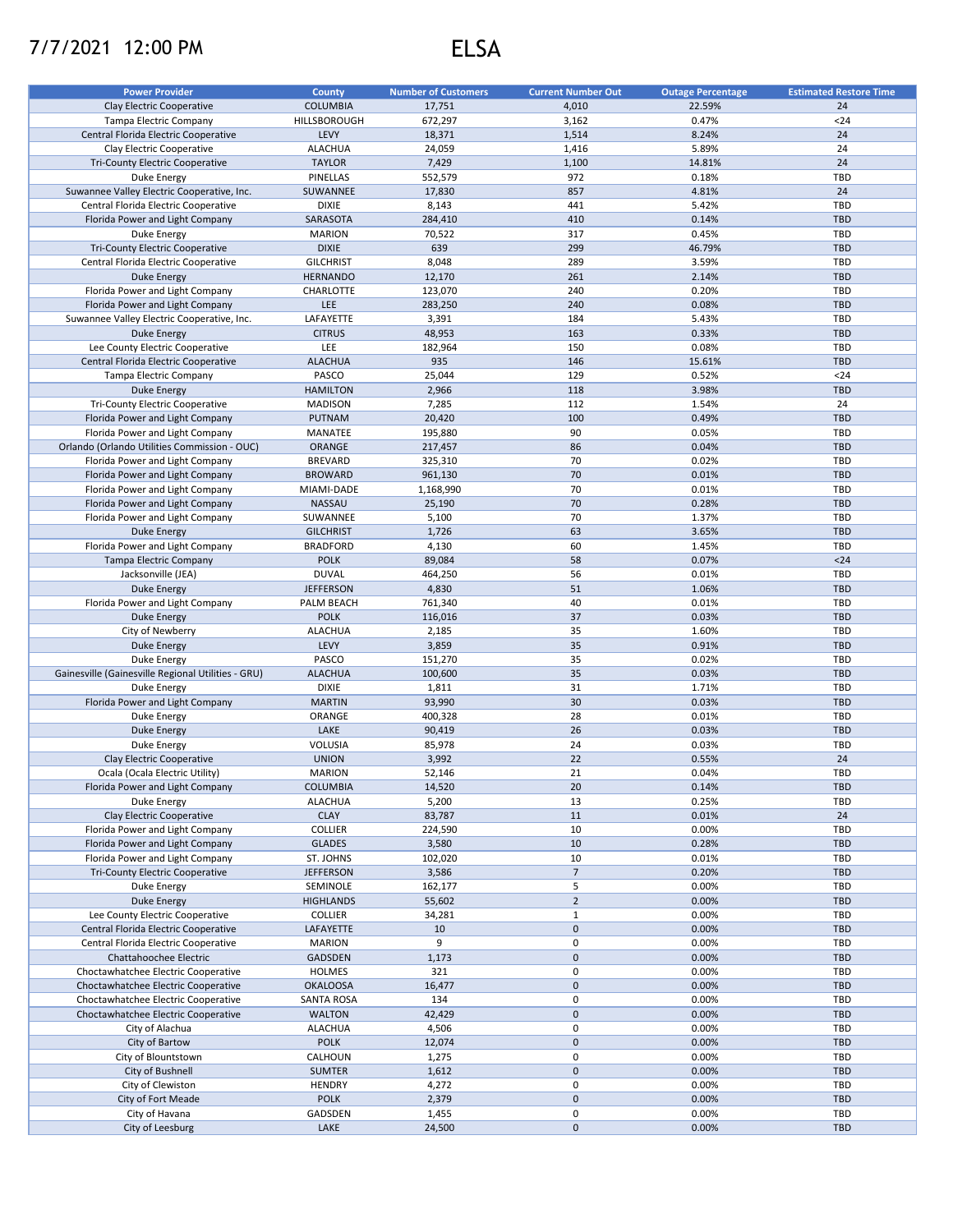## 7/7/2021 12:00 PM ELSA

| <b>Power Provider</b>                              | <b>County</b>     | <b>Number of Customers</b> | <b>Current Number Out</b> | <b>Outage Percentage</b> | <b>Estimated Restore Time</b> |
|----------------------------------------------------|-------------------|----------------------------|---------------------------|--------------------------|-------------------------------|
| Clay Electric Cooperative                          | <b>COLUMBIA</b>   | 17,751                     | 4,010                     | 22.59%                   | 24                            |
| Tampa Electric Company                             | HILLSBOROUGH      | 672,297                    | 3,162                     | 0.47%                    | $24$                          |
| Central Florida Electric Cooperative               | LEVY              | 18,371                     | 1,514                     | 8.24%                    | 24                            |
| Clay Electric Cooperative                          | <b>ALACHUA</b>    | 24,059                     | 1,416                     | 5.89%                    | 24                            |
| Tri-County Electric Cooperative                    | <b>TAYLOR</b>     | 7,429                      | 1,100                     | 14.81%                   | 24                            |
| Duke Energy                                        | <b>PINELLAS</b>   | 552,579                    | 972                       | 0.18%                    | TBD                           |
| Suwannee Valley Electric Cooperative, Inc.         | SUWANNEE          | 17,830                     | 857                       | 4.81%                    | 24                            |
| Central Florida Electric Cooperative               | <b>DIXIE</b>      | 8,143                      | 441                       | 5.42%                    | <b>TBD</b>                    |
| Florida Power and Light Company                    | SARASOTA          | 284,410                    | 410                       | 0.14%                    | <b>TBD</b>                    |
|                                                    |                   |                            | 317                       |                          | TBD                           |
| <b>Duke Energy</b>                                 | <b>MARION</b>     | 70,522                     |                           | 0.45%                    |                               |
| <b>Tri-County Electric Cooperative</b>             | <b>DIXIE</b>      | 639                        | 299                       | 46.79%                   | <b>TBD</b>                    |
| Central Florida Electric Cooperative               | <b>GILCHRIST</b>  | 8,048                      | 289                       | 3.59%                    | TBD                           |
| <b>Duke Energy</b>                                 | <b>HERNANDO</b>   | 12,170                     | 261                       | 2.14%                    | <b>TBD</b>                    |
| Florida Power and Light Company                    | CHARLOTTE         | 123,070                    | 240                       | 0.20%                    | TBD                           |
| Florida Power and Light Company                    | LEE               | 283,250                    | 240                       | 0.08%                    | <b>TBD</b>                    |
| Suwannee Valley Electric Cooperative, Inc.         | LAFAYETTE         | 3,391                      | 184                       | 5.43%                    | TBD                           |
| Duke Energy                                        | <b>CITRUS</b>     | 48,953                     | 163                       | 0.33%                    | <b>TBD</b>                    |
| Lee County Electric Cooperative                    | LEE               | 182,964                    | 150                       | 0.08%                    | TBD                           |
| Central Florida Electric Cooperative               | <b>ALACHUA</b>    | 935                        | 146                       | 15.61%                   | <b>TBD</b>                    |
| Tampa Electric Company                             | PASCO             | 25,044                     | 129                       | 0.52%                    | $24$                          |
| <b>Duke Energy</b>                                 | <b>HAMILTON</b>   | 2,966                      | 118                       | 3.98%                    | <b>TBD</b>                    |
| <b>Tri-County Electric Cooperative</b>             | <b>MADISON</b>    | 7,285                      | 112                       | 1.54%                    | 24                            |
| Florida Power and Light Company                    | <b>PUTNAM</b>     | 20,420                     | 100                       | 0.49%                    | <b>TBD</b>                    |
| Florida Power and Light Company                    | MANATEE           | 195,880                    | 90                        | 0.05%                    | TBD                           |
| Orlando (Orlando Utilities Commission - OUC)       | ORANGE            | 217,457                    | 86                        | 0.04%                    | <b>TBD</b>                    |
| Florida Power and Light Company                    | <b>BREVARD</b>    | 325,310                    | 70                        | 0.02%                    | TBD                           |
| Florida Power and Light Company                    | <b>BROWARD</b>    | 961,130                    | 70                        | 0.01%                    | <b>TBD</b>                    |
| Florida Power and Light Company                    |                   |                            | 70                        |                          | TBD                           |
|                                                    | MIAMI-DADE        | 1,168,990                  |                           | 0.01%                    |                               |
| Florida Power and Light Company                    | <b>NASSAU</b>     | 25,190                     | 70                        | 0.28%                    | <b>TBD</b>                    |
| Florida Power and Light Company                    | SUWANNEE          | 5,100                      | 70                        | 1.37%                    | <b>TBD</b>                    |
| <b>Duke Energy</b>                                 | <b>GILCHRIST</b>  | 1,726                      | 63                        | 3.65%                    | <b>TBD</b>                    |
| Florida Power and Light Company                    | <b>BRADFORD</b>   | 4,130                      | 60                        | 1.45%                    | <b>TBD</b>                    |
| <b>Tampa Electric Company</b>                      | <b>POLK</b>       | 89,084                     | 58                        | 0.07%                    | $24$                          |
| Jacksonville (JEA)                                 | <b>DUVAL</b>      | 464,250                    | 56                        | 0.01%                    | <b>TBD</b>                    |
| <b>Duke Energy</b>                                 | <b>JEFFERSON</b>  | 4,830                      | 51                        | 1.06%                    | <b>TBD</b>                    |
| Florida Power and Light Company                    | PALM BEACH        | 761,340                    | 40                        | 0.01%                    | TBD                           |
| <b>Duke Energy</b>                                 | <b>POLK</b>       | 116,016                    | 37                        | 0.03%                    | <b>TBD</b>                    |
| City of Newberry                                   | <b>ALACHUA</b>    | 2,185                      | 35                        | 1.60%                    | TBD                           |
| <b>Duke Energy</b>                                 | LEVY              | 3,859                      | 35                        | 0.91%                    | <b>TBD</b>                    |
| <b>Duke Energy</b>                                 | PASCO             | 151,270                    | 35                        | 0.02%                    | TBD                           |
| Gainesville (Gainesville Regional Utilities - GRU) | <b>ALACHUA</b>    | 100,600                    | 35                        | 0.03%                    | <b>TBD</b>                    |
| Duke Energy                                        | <b>DIXIE</b>      | 1,811                      | 31                        | 1.71%                    | TBD                           |
| Florida Power and Light Company                    | <b>MARTIN</b>     | 93,990                     | 30                        | 0.03%                    | <b>TBD</b>                    |
| Duke Energy                                        | ORANGE            | 400,328                    | 28                        | 0.01%                    | TBD                           |
| <b>Duke Energy</b>                                 | LAKE              | 90,419                     | 26                        | 0.03%                    | <b>TBD</b>                    |
| Duke Energy                                        | <b>VOLUSIA</b>    | 85,978                     | 24                        | 0.03%                    | TBD                           |
| Clay Electric Cooperative                          | <b>UNION</b>      | 3,992                      | 22                        | 0.55%                    | 24                            |
|                                                    | <b>MARION</b>     |                            | 21                        | 0.04%                    | TBD                           |
| Ocala (Ocala Electric Utility)                     |                   | 52,146                     |                           |                          |                               |
| Florida Power and Light Company                    | <b>COLUMBIA</b>   | 14,520                     | 20                        | 0.14%                    | <b>TBD</b>                    |
| Duke Energy                                        | <b>ALACHUA</b>    | 5,200                      | 13                        | 0.25%                    | TBD                           |
| Clay Electric Cooperative                          | <b>CLAY</b>       | 83,787                     | 11                        | 0.01%                    | 24                            |
| Florida Power and Light Company                    | <b>COLLIER</b>    | 224,590                    | 10                        | 0.00%                    | TBD                           |
| Florida Power and Light Company                    | <b>GLADES</b>     | 3,580                      | 10                        | 0.28%                    | <b>TBD</b>                    |
| Florida Power and Light Company                    | ST. JOHNS         | 102,020                    | 10                        | 0.01%                    | TBD                           |
| Tri-County Electric Cooperative                    | <b>JEFFERSON</b>  | 3,586                      | $\overline{7}$            | 0.20%                    | <b>TBD</b>                    |
| Duke Energy                                        | SEMINOLE          | 162,177                    | 5                         | 0.00%                    | TBD                           |
| Duke Energy                                        | <b>HIGHLANDS</b>  | 55,602                     | $\overline{2}$            | 0.00%                    | <b>TBD</b>                    |
| Lee County Electric Cooperative                    | <b>COLLIER</b>    | 34,281                     | $\mathbf{1}$              | 0.00%                    | TBD                           |
| Central Florida Electric Cooperative               | LAFAYETTE         | 10                         | $\pmb{0}$                 | 0.00%                    | <b>TBD</b>                    |
| Central Florida Electric Cooperative               | <b>MARION</b>     | 9                          | 0                         | 0.00%                    | TBD                           |
| Chattahoochee Electric                             | <b>GADSDEN</b>    | 1,173                      | $\pmb{0}$                 | 0.00%                    | <b>TBD</b>                    |
| Choctawhatchee Electric Cooperative                | <b>HOLMES</b>     | 321                        | 0                         | 0.00%                    | TBD                           |
| Choctawhatchee Electric Cooperative                | <b>OKALOOSA</b>   | 16,477                     | $\mathbf 0$               | 0.00%                    | <b>TBD</b>                    |
| Choctawhatchee Electric Cooperative                | <b>SANTA ROSA</b> | 134                        | 0                         | 0.00%                    | TBD                           |
|                                                    |                   |                            | $\pmb{0}$                 | 0.00%                    | <b>TBD</b>                    |
| Choctawhatchee Electric Cooperative                | <b>WALTON</b>     | 42,429                     |                           |                          |                               |
| City of Alachua                                    | <b>ALACHUA</b>    | 4,506                      | 0                         | 0.00%                    | TBD                           |
| City of Bartow                                     | <b>POLK</b>       | 12,074                     | 0                         | 0.00%                    | TBD                           |
| City of Blountstown                                | CALHOUN           | 1,275                      | 0                         | 0.00%                    | TBD                           |
| City of Bushnell                                   | <b>SUMTER</b>     | 1,612                      | 0                         | 0.00%                    | <b>TBD</b>                    |
| City of Clewiston                                  | <b>HENDRY</b>     | 4,272                      | 0                         | 0.00%                    | TBD                           |
| City of Fort Meade                                 | <b>POLK</b>       | 2,379                      | $\pmb{0}$                 | 0.00%                    | <b>TBD</b>                    |
| City of Havana                                     | GADSDEN           | 1,455                      | 0                         | 0.00%                    | TBD                           |
| City of Leesburg                                   | LAKE              | 24,500                     | $\mathbf 0$               | 0.00%                    | TBD                           |
|                                                    |                   |                            |                           |                          |                               |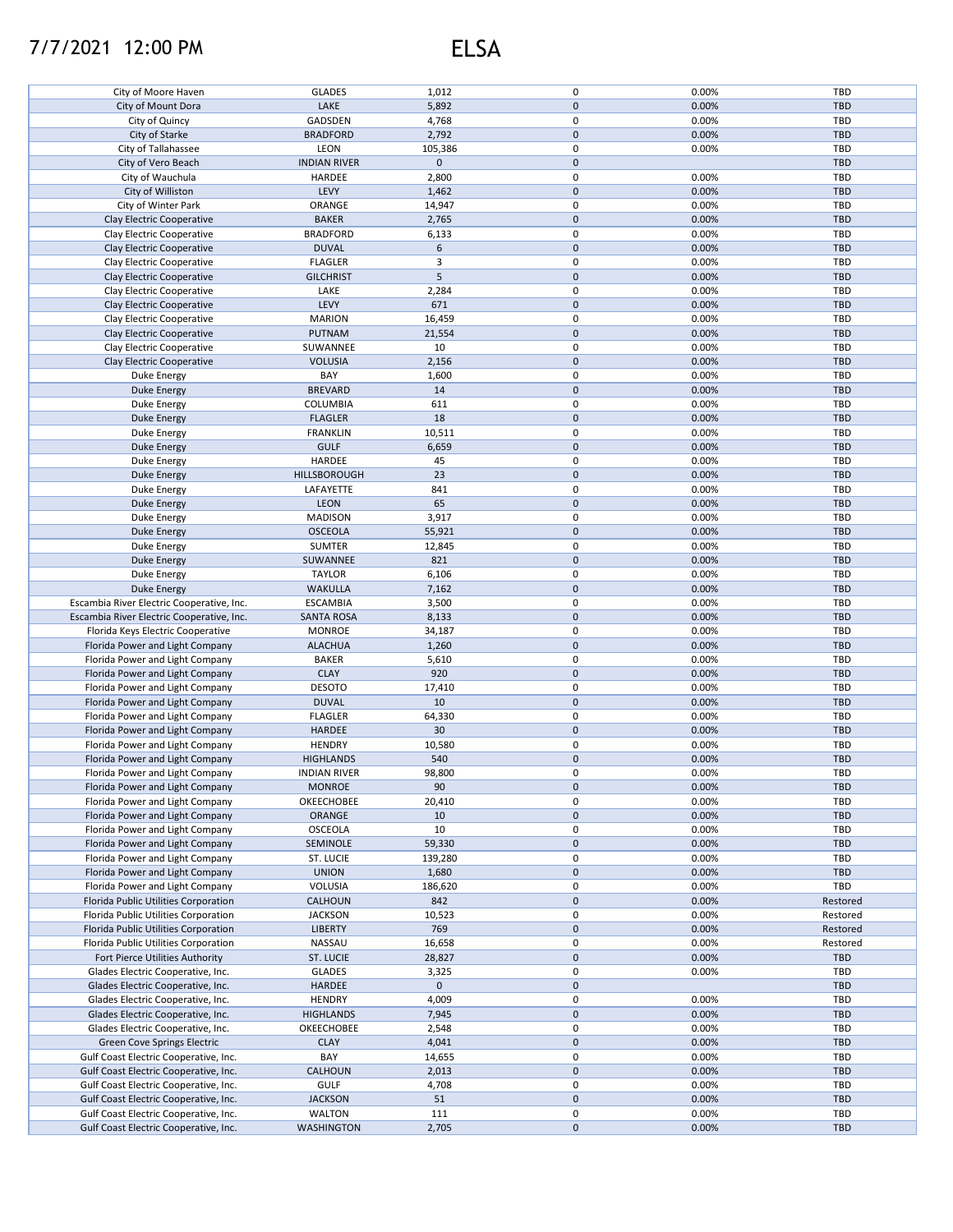## 7/7/2021 12:00 PM ELSA

|                                           | <b>GLADES</b>       |             | 0                   |       |            |
|-------------------------------------------|---------------------|-------------|---------------------|-------|------------|
| City of Moore Haven                       |                     | 1,012       |                     | 0.00% | TBD        |
| City of Mount Dora                        | LAKE                | 5,892       | $\mathsf{O}\xspace$ | 0.00% | <b>TBD</b> |
| City of Quincy                            | GADSDEN             | 4,768       | 0                   | 0.00% | TBD        |
|                                           | <b>BRADFORD</b>     | 2,792       | $\mathbf 0$         | 0.00% | <b>TBD</b> |
| City of Starke                            |                     |             |                     |       |            |
| City of Tallahassee                       | LEON                | 105,386     | 0                   | 0.00% | <b>TBD</b> |
| City of Vero Beach                        | <b>INDIAN RIVER</b> | $\mathbf 0$ | $\mathsf{O}\xspace$ |       | <b>TBD</b> |
| City of Wauchula                          | HARDEE              | 2,800       | 0                   | 0.00% | <b>TBD</b> |
|                                           |                     |             |                     |       |            |
| City of Williston                         | LEVY                | 1,462       | $\mathbf 0$         | 0.00% | <b>TBD</b> |
| City of Winter Park                       | ORANGE              | 14,947      | 0                   | 0.00% | TBD        |
| Clay Electric Cooperative                 | <b>BAKER</b>        | 2,765       | $\mathbf 0$         | 0.00% | <b>TBD</b> |
| Clay Electric Cooperative                 | <b>BRADFORD</b>     | 6,133       | 0                   | 0.00% | TBD        |
|                                           |                     |             |                     |       |            |
| Clay Electric Cooperative                 | <b>DUVAL</b>        | 6           | $\pmb{0}$           | 0.00% | <b>TBD</b> |
| Clay Electric Cooperative                 | <b>FLAGLER</b>      | 3           | 0                   | 0.00% | TBD        |
| Clay Electric Cooperative                 | <b>GILCHRIST</b>    | 5           | $\mathsf{O}\xspace$ | 0.00% | <b>TBD</b> |
|                                           |                     |             |                     |       |            |
| Clay Electric Cooperative                 | LAKE                | 2,284       | 0                   | 0.00% | TBD        |
| Clay Electric Cooperative                 | LEVY                | 671         | $\mathsf{O}\xspace$ | 0.00% | <b>TBD</b> |
| Clay Electric Cooperative                 | <b>MARION</b>       | 16,459      | 0                   | 0.00% | TBD        |
| Clay Electric Cooperative                 | PUTNAM              | 21,554      | $\mathsf{O}\xspace$ | 0.00% | <b>TBD</b> |
|                                           |                     |             |                     |       |            |
| Clay Electric Cooperative                 | SUWANNEE            | 10          | 0                   | 0.00% | TBD        |
| Clay Electric Cooperative                 | <b>VOLUSIA</b>      | 2,156       | $\mathsf{O}\xspace$ | 0.00% | <b>TBD</b> |
| Duke Energy                               | BAY                 | 1,600       | 0                   | 0.00% | TBD        |
| Duke Energy                               | <b>BREVARD</b>      | 14          | $\mathsf{O}\xspace$ | 0.00% | <b>TBD</b> |
|                                           |                     |             |                     |       |            |
| Duke Energy                               | COLUMBIA            | 611         | 0                   | 0.00% | TBD        |
| Duke Energy                               | <b>FLAGLER</b>      | 18          | $\pmb{0}$           | 0.00% | <b>TBD</b> |
| Duke Energy                               | <b>FRANKLIN</b>     | 10,511      | 0                   | 0.00% | <b>TBD</b> |
|                                           |                     |             |                     |       |            |
| <b>Duke Energy</b>                        | <b>GULF</b>         | 6,659       | $\mathsf{O}\xspace$ | 0.00% | <b>TBD</b> |
| Duke Energy                               | HARDEE              | 45          | 0                   | 0.00% | <b>TBD</b> |
| <b>Duke Energy</b>                        | HILLSBOROUGH        | 23          | $\mathsf{O}\xspace$ | 0.00% | TBD        |
| Duke Energy                               | LAFAYETTE           | 841         | 0                   | 0.00% | <b>TBD</b> |
|                                           |                     |             |                     |       |            |
| <b>Duke Energy</b>                        | <b>LEON</b>         | 65          | $\mathsf{O}\xspace$ | 0.00% | <b>TBD</b> |
| Duke Energy                               | <b>MADISON</b>      | 3,917       | 0                   | 0.00% | TBD        |
| <b>Duke Energy</b>                        | <b>OSCEOLA</b>      | 55,921      | $\pmb{0}$           | 0.00% | <b>TBD</b> |
|                                           |                     |             |                     |       |            |
| Duke Energy                               | <b>SUMTER</b>       | 12,845      | 0                   | 0.00% | TBD        |
| Duke Energy                               | SUWANNEE            | 821         | $\mathbf 0$         | 0.00% | <b>TBD</b> |
| Duke Energy                               | <b>TAYLOR</b>       | 6,106       | 0                   | 0.00% | TBD        |
| <b>Duke Energy</b>                        | WAKULLA             | 7,162       | $\pmb{0}$           | 0.00% | <b>TBD</b> |
|                                           |                     |             |                     |       |            |
| Escambia River Electric Cooperative, Inc. | <b>ESCAMBIA</b>     | 3,500       | 0                   | 0.00% | TBD        |
| Escambia River Electric Cooperative, Inc. | <b>SANTA ROSA</b>   | 8,133       | $\pmb{0}$           | 0.00% | <b>TBD</b> |
| Florida Keys Electric Cooperative         | <b>MONROE</b>       | 34,187      | 0                   | 0.00% | TBD        |
|                                           |                     |             | $\pmb{0}$           |       |            |
| Florida Power and Light Company           | <b>ALACHUA</b>      | 1,260       |                     | 0.00% | <b>TBD</b> |
| Florida Power and Light Company           | <b>BAKER</b>        | 5,610       | 0                   | 0.00% | TBD        |
| Florida Power and Light Company           | <b>CLAY</b>         | 920         | $\pmb{0}$           | 0.00% | <b>TBD</b> |
| Florida Power and Light Company           | <b>DESOTO</b>       | 17,410      | 0                   | 0.00% | TBD        |
|                                           |                     |             |                     |       |            |
| Florida Power and Light Company           | <b>DUVAL</b>        | 10          | $\pmb{0}$           | 0.00% | <b>TBD</b> |
| Florida Power and Light Company           | <b>FLAGLER</b>      | 64,330      | 0                   | 0.00% | TBD        |
| Florida Power and Light Company           | <b>HARDEE</b>       | 30          | $\mathbf 0$         | 0.00% | <b>TBD</b> |
| Florida Power and Light Company           | <b>HENDRY</b>       |             | 0                   |       | TBD        |
|                                           |                     | 10,580      |                     | 0.00% |            |
| Florida Power and Light Company           | <b>HIGHLANDS</b>    | 540         | $\pmb{0}$           | 0.00% | <b>TBD</b> |
| Florida Power and Light Company           | <b>INDIAN RIVER</b> | 98,800      | 0                   | 0.00% | TBD        |
| Florida Power and Light Company           | <b>MONROE</b>       | 90          | $\pmb{0}$           | 0.00% | <b>TBD</b> |
|                                           |                     |             |                     |       |            |
| Florida Power and Light Company           | OKEECHOBEE          | 20,410      | 0                   | 0.00% | TBD        |
| Florida Power and Light Company           | ORANGE              | 10          | $\mathbf 0$         | 0.00% | <b>TBD</b> |
| Florida Power and Light Company           | <b>OSCEOLA</b>      | 10          | 0                   | 0.00% | TBD        |
| Florida Power and Light Company           | SEMINOLE            | 59,330      | $\pmb{0}$           | 0.00% | <b>TBD</b> |
|                                           |                     |             |                     |       |            |
| Florida Power and Light Company           | ST. LUCIE           | 139,280     | 0                   | 0.00% | TBD        |
| Florida Power and Light Company           | <b>UNION</b>        | 1,680       | 0                   | 0.00% | TBD        |
| Florida Power and Light Company           | VOLUSIA             | 186,620     | 0                   | 0.00% | TBD        |
| Florida Public Utilities Corporation      | CALHOUN             | 842         | $\mathbf 0$         | 0.00% | Restored   |
|                                           |                     |             |                     |       |            |
| Florida Public Utilities Corporation      | <b>JACKSON</b>      | 10,523      | 0                   | 0.00% | Restored   |
| Florida Public Utilities Corporation      | <b>LIBERTY</b>      | 769         | $\pmb{0}$           | 0.00% | Restored   |
| Florida Public Utilities Corporation      | NASSAU              | 16,658      | 0                   | 0.00% | Restored   |
| Fort Pierce Utilities Authority           | <b>ST. LUCIE</b>    | 28,827      | 0                   | 0.00% | TBD        |
|                                           |                     |             |                     |       |            |
| Glades Electric Cooperative, Inc.         | <b>GLADES</b>       | 3,325       | 0                   | 0.00% | TBD        |
| Glades Electric Cooperative, Inc.         | <b>HARDEE</b>       | $\mathbf 0$ | $\mathbf 0$         |       | <b>TBD</b> |
| Glades Electric Cooperative, Inc.         | <b>HENDRY</b>       | 4,009       | 0                   | 0.00% | TBD        |
|                                           |                     |             |                     |       |            |
| Glades Electric Cooperative, Inc.         | <b>HIGHLANDS</b>    | 7,945       | $\pmb{0}$           | 0.00% | <b>TBD</b> |
| Glades Electric Cooperative, Inc.         | OKEECHOBEE          | 2,548       | 0                   | 0.00% | TBD        |
| Green Cove Springs Electric               | <b>CLAY</b>         | 4,041       | $\pmb{0}$           | 0.00% | TBD        |
| Gulf Coast Electric Cooperative, Inc.     | BAY                 | 14,655      | 0                   | 0.00% | TBD        |
|                                           |                     |             |                     |       |            |
| Gulf Coast Electric Cooperative, Inc.     | CALHOUN             | 2,013       | $\pmb{0}$           | 0.00% | <b>TBD</b> |
| Gulf Coast Electric Cooperative, Inc.     | <b>GULF</b>         | 4,708       | 0                   | 0.00% | TBD        |
| Gulf Coast Electric Cooperative, Inc.     | <b>JACKSON</b>      | 51          | $\pmb{0}$           | 0.00% | <b>TBD</b> |
| Gulf Coast Electric Cooperative, Inc.     | WALTON              | 111         | 0                   | 0.00% | TBD        |
|                                           |                     |             |                     |       |            |
| Gulf Coast Electric Cooperative, Inc.     | WASHINGTON          | 2,705       | $\mathbf 0$         | 0.00% | <b>TBD</b> |
|                                           |                     |             |                     |       |            |